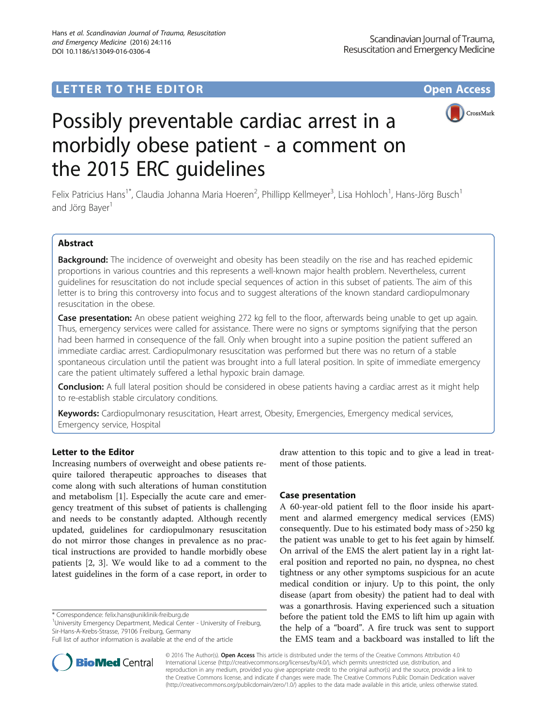# LETTER TO THE EDITOR **CONSIDERING A CONSIDERATION**



# Possibly preventable cardiac arrest in a morbidly obese patient - a comment on the 2015 ERC guidelines

Felix Patricius Hans<sup>1\*</sup>, Claudia Johanna Maria Hoeren<sup>2</sup>, Phillipp Kellmeyer<sup>3</sup>, Lisa Hohloch<sup>1</sup>, Hans-Jörg Busch<sup>1</sup> and Jörg Bayer<sup>1</sup>

# Abstract

Background: The incidence of overweight and obesity has been steadily on the rise and has reached epidemic proportions in various countries and this represents a well-known major health problem. Nevertheless, current guidelines for resuscitation do not include special sequences of action in this subset of patients. The aim of this letter is to bring this controversy into focus and to suggest alterations of the known standard cardiopulmonary resuscitation in the obese.

Case presentation: An obese patient weighing 272 kg fell to the floor, afterwards being unable to get up again. Thus, emergency services were called for assistance. There were no signs or symptoms signifying that the person had been harmed in consequence of the fall. Only when brought into a supine position the patient suffered an immediate cardiac arrest. Cardiopulmonary resuscitation was performed but there was no return of a stable spontaneous circulation until the patient was brought into a full lateral position. In spite of immediate emergency care the patient ultimately suffered a lethal hypoxic brain damage.

**Conclusion:** A full lateral position should be considered in obese patients having a cardiac arrest as it might help to re-establish stable circulatory conditions.

Keywords: Cardiopulmonary resuscitation, Heart arrest, Obesity, Emergencies, Emergency medical services, Emergency service, Hospital

# Letter to the Editor

Increasing numbers of overweight and obese patients require tailored therapeutic approaches to diseases that come along with such alterations of human constitution and metabolism [\[1](#page-1-0)]. Especially the acute care and emergency treatment of this subset of patients is challenging and needs to be constantly adapted. Although recently updated, guidelines for cardiopulmonary resuscitation do not mirror those changes in prevalence as no practical instructions are provided to handle morbidly obese patients [\[2](#page-1-0), [3](#page-1-0)]. We would like to ad a comment to the latest guidelines in the form of a case report, in order to

\* Correspondence: [felix.hans@uniklinik-freiburg.de](mailto:felix.hans@uniklinik-freiburg.de) <sup>1</sup>

<sup>1</sup>University Emergency Department, Medical Center - University of Freiburg, Sir-Hans-A-Krebs-Strasse, 79106 Freiburg, Germany



# Case presentation

A 60-year-old patient fell to the floor inside his apartment and alarmed emergency medical services (EMS) consequently. Due to his estimated body mass of >250 kg the patient was unable to get to his feet again by himself. On arrival of the EMS the alert patient lay in a right lateral position and reported no pain, no dyspnea, no chest tightness or any other symptoms suspicious for an acute medical condition or injury. Up to this point, the only disease (apart from obesity) the patient had to deal with was a gonarthrosis. Having experienced such a situation before the patient told the EMS to lift him up again with the help of a "board". A fire truck was sent to support the EMS team and a backboard was installed to lift the



© 2016 The Author(s). Open Access This article is distributed under the terms of the Creative Commons Attribution 4.0 International License [\(http://creativecommons.org/licenses/by/4.0/](http://creativecommons.org/licenses/by/4.0/)), which permits unrestricted use, distribution, and reproduction in any medium, provided you give appropriate credit to the original author(s) and the source, provide a link to the Creative Commons license, and indicate if changes were made. The Creative Commons Public Domain Dedication waiver [\(http://creativecommons.org/publicdomain/zero/1.0/](http://creativecommons.org/publicdomain/zero/1.0/)) applies to the data made available in this article, unless otherwise stated.

Full list of author information is available at the end of the article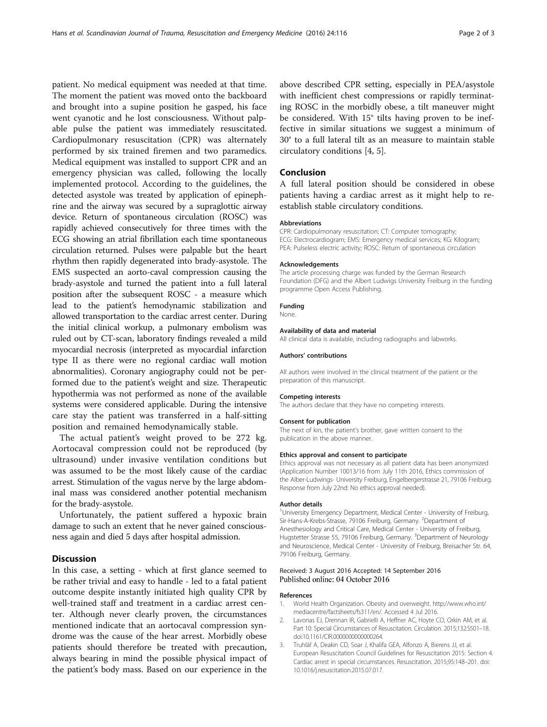<span id="page-1-0"></span>patient. No medical equipment was needed at that time. The moment the patient was moved onto the backboard and brought into a supine position he gasped, his face went cyanotic and he lost consciousness. Without palpable pulse the patient was immediately resuscitated. Cardiopulmonary resuscitation (CPR) was alternately performed by six trained firemen and two paramedics. Medical equipment was installed to support CPR and an emergency physician was called, following the locally implemented protocol. According to the guidelines, the detected asystole was treated by application of epinephrine and the airway was secured by a supraglottic airway device. Return of spontaneous circulation (ROSC) was rapidly achieved consecutively for three times with the ECG showing an atrial fibrillation each time spontaneous circulation returned. Pulses were palpable but the heart rhythm then rapidly degenerated into brady-asystole. The EMS suspected an aorto-caval compression causing the brady-asystole and turned the patient into a full lateral position after the subsequent ROSC - a measure which lead to the patient's hemodynamic stabilization and allowed transportation to the cardiac arrest center. During the initial clinical workup, a pulmonary embolism was ruled out by CT-scan, laboratory findings revealed a mild myocardial necrosis (interpreted as myocardial infarction type II as there were no regional cardiac wall motion abnormalities). Coronary angiography could not be performed due to the patient's weight and size. Therapeutic hypothermia was not performed as none of the available systems were considered applicable. During the intensive care stay the patient was transferred in a half-sitting position and remained hemodynamically stable.

The actual patient's weight proved to be 272 kg. Aortocaval compression could not be reproduced (by ultrasound) under invasive ventilation conditions but was assumed to be the most likely cause of the cardiac arrest. Stimulation of the vagus nerve by the large abdominal mass was considered another potential mechanism for the brady-asystole.

Unfortunately, the patient suffered a hypoxic brain damage to such an extent that he never gained consciousness again and died 5 days after hospital admission.

# **Discussion**

In this case, a setting - which at first glance seemed to be rather trivial and easy to handle - led to a fatal patient outcome despite instantly initiated high quality CPR by well-trained staff and treatment in a cardiac arrest center. Although never clearly proven, the circumstances mentioned indicate that an aortocaval compression syndrome was the cause of the hear arrest. Morbidly obese patients should therefore be treated with precaution, always bearing in mind the possible physical impact of the patient's body mass. Based on our experience in the

above described CPR setting, especially in PEA/asystole with inefficient chest compressions or rapidly terminating ROSC in the morbidly obese, a tilt maneuver might be considered. With 15° tilts having proven to be ineffective in similar situations we suggest a minimum of 30° to a full lateral tilt as an measure to maintain stable circulatory conditions [\[4](#page-2-0), [5](#page-2-0)].

# Conclusion

A full lateral position should be considered in obese patients having a cardiac arrest as it might help to reestablish stable circulatory conditions.

## Abbreviations

CPR: Cardiopulmonary resuscitation; CT: Computer tomography; ECG: Electrocardiogram; EMS: Emergency medical services; KG: Kilogram; PEA: Pulseless electric activity; ROSC: Return of spontaneous circulation

## Acknowledgements

The article processing charge was funded by the German Research Foundation (DFG) and the Albert Ludwigs University Freiburg in the funding programme Open Access Publishing.

#### Funding

None.

# Availability of data and material

All clinical data is available, including radiographs and labworks.

## Authors' contributions

All authors were involved in the clinical treatment of the patient or the preparation of this manuscript.

#### Competing interests

The authors declare that they have no competing interests.

#### Consent for publication

The next of kin, the patient's brother, gave written consent to the publication in the above manner.

# Ethics approval and consent to participate

Ethics approval was not necessary as all patient data has been anonymized (Application Number 10013/16 from July 11th 2016, Ethics commission of the Alber-Ludwings- University Freiburg, Engelbergerstrasse 21, 79106 Freiburg. Response from July 22nd: No ethics approval needed).

## Author details

<sup>1</sup>University Emergency Department, Medical Center - University of Freiburg Sir-Hans-A-Krebs-Strasse, 79106 Freiburg, Germany. <sup>2</sup>Department of Anesthesiology and Critical Care, Medical Center - University of Freiburg, Hugstetter Strasse 55, 79106 Freiburg, Germany. <sup>3</sup>Department of Neurology and Neuroscience, Medical Center - University of Freiburg, Breisacher Str. 64, 79106 Freiburg, Germany.

## Received: 3 August 2016 Accepted: 14 September 2016 Published online: 04 October 2016

## References

- 1. World Health Organization. Obesity and overweight. [http://www.who.int/](http://www.who.int/mediacentre/factsheets/fs311/en/) [mediacentre/factsheets/fs311/en/](http://www.who.int/mediacentre/factsheets/fs311/en/). Accessed 4 Jul 2016.
- 2. Lavonas EJ, Drennan IR, Gabrielli A, Heffner AC, Hoyte CO, Orkin AM, et al. Part 10: Special Circumstances of Resuscitation. Circulation. 2015;132:S501–18. doi:[10.1161/CIR.0000000000000264](http://dx.doi.org/10.1161/CIR.0000000000000264).
- 3. Truhlář A, Deakin CD, Soar J, Khalifa GEA, Alfonzo A, Bierens JJ, et al. European Resuscitation Council Guidelines for Resuscitation 2015: Section 4. Cardiac arrest in special circumstances. Resuscitation. 2015;95:148–201. doi: [10.1016/j.resuscitation.2015.07.017](http://dx.doi.org/10.1016/j.resuscitation.2015.07.017).